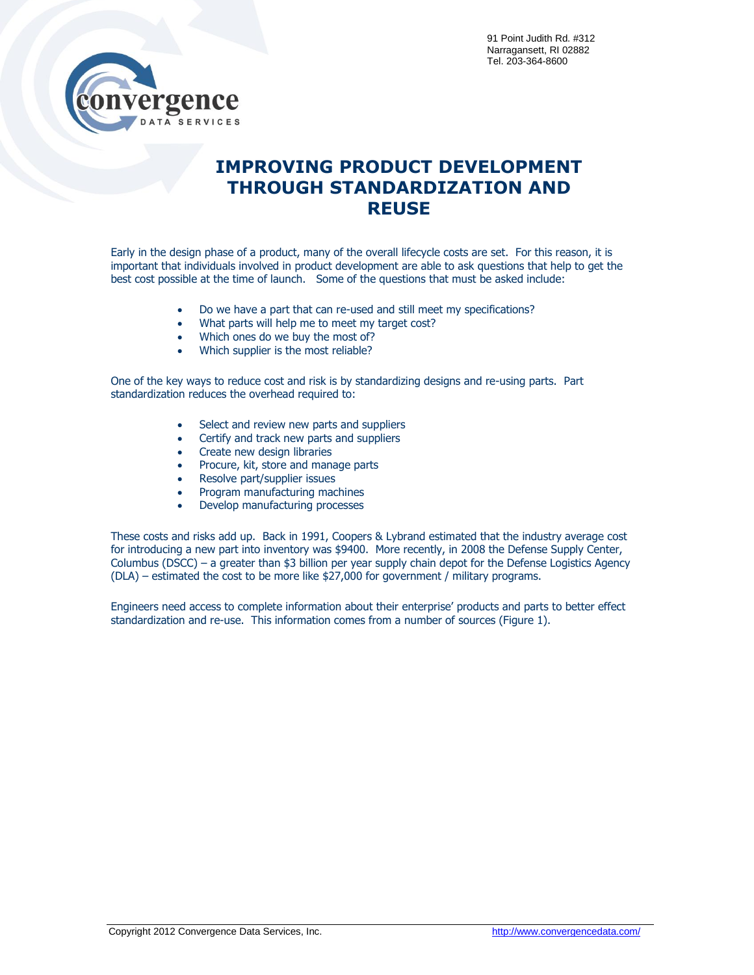

## **IMPROVING PRODUCT DEVELOPMENT THROUGH STANDARDIZATION AND REUSE**

Early in the design phase of a product, many of the overall lifecycle costs are set. For this reason, it is important that individuals involved in product development are able to ask questions that help to get the best cost possible at the time of launch. Some of the questions that must be asked include:

- Do we have a part that can re-used and still meet my specifications?
- What parts will help me to meet my target cost?
- Which ones do we buy the most of?
- Which supplier is the most reliable?

One of the key ways to reduce cost and risk is by standardizing designs and re-using parts. Part standardization reduces the overhead required to:

- Select and review new parts and suppliers
- Certify and track new parts and suppliers
- Create new design libraries
- Procure, kit, store and manage parts
- Resolve part/supplier issues
- Program manufacturing machines
- Develop manufacturing processes

These costs and risks add up. Back in 1991, Coopers & Lybrand estimated that the industry average cost for introducing a new part into inventory was \$9400. More recently, in 2008 the Defense Supply Center, Columbus (DSCC) – a greater than \$3 billion per year supply chain depot for the Defense Logistics Agency (DLA) – estimated the cost to be more like \$27,000 for government / military programs.

Engineers need access to complete information about their enterprise' products and parts to better effect standardization and re-use. This information comes from a number of sources (Figure 1).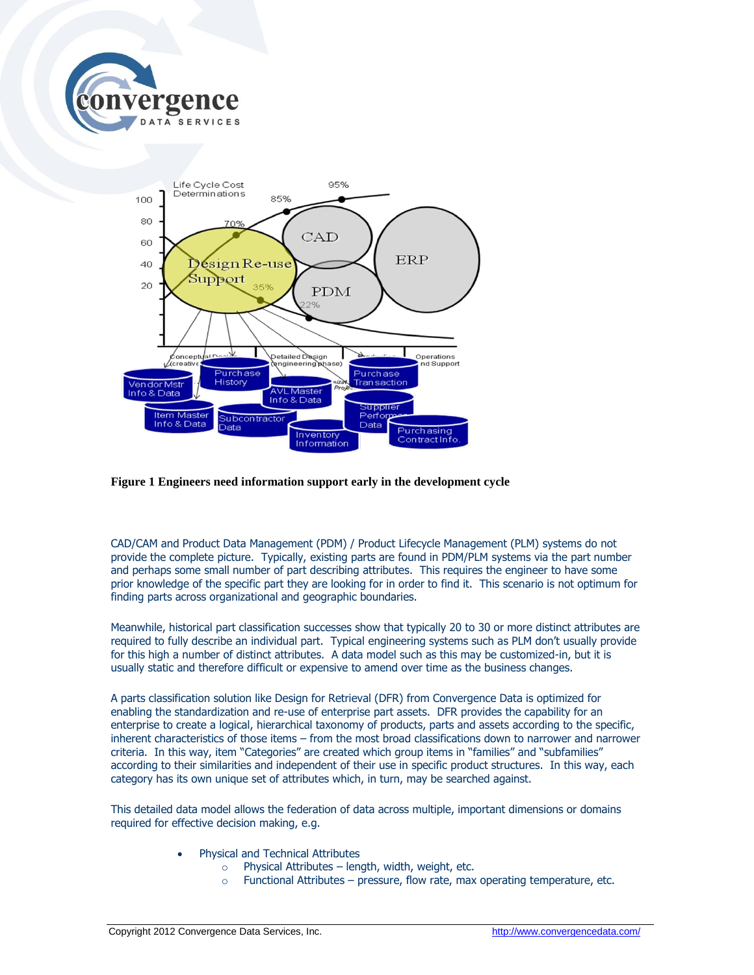



## **Figure 1 Engineers need information support early in the development cycle**

CAD/CAM and Product Data Management (PDM) / Product Lifecycle Management (PLM) systems do not provide the complete picture. Typically, existing parts are found in PDM/PLM systems via the part number and perhaps some small number of part describing attributes. This requires the engineer to have some prior knowledge of the specific part they are looking for in order to find it. This scenario is not optimum for finding parts across organizational and geographic boundaries.

Meanwhile, historical part classification successes show that typically 20 to 30 or more distinct attributes are required to fully describe an individual part. Typical engineering systems such as PLM don't usually provide for this high a number of distinct attributes. A data model such as this may be customized-in, but it is usually static and therefore difficult or expensive to amend over time as the business changes.

A parts classification solution like Design for Retrieval (DFR) from Convergence Data is optimized for enabling the standardization and re-use of enterprise part assets. DFR provides the capability for an enterprise to create a logical, hierarchical taxonomy of products, parts and assets according to the specific, inherent characteristics of those items – from the most broad classifications down to narrower and narrower criteria. In this way, item "Categories" are created which group items in "families" and "subfamilies" according to their similarities and independent of their use in specific product structures. In this way, each category has its own unique set of attributes which, in turn, may be searched against.

This detailed data model allows the federation of data across multiple, important dimensions or domains required for effective decision making, e.g.

- Physical and Technical Attributes
	- $\circ$  Physical Attributes length, width, weight, etc.
	- $\circ$  Functional Attributes pressure, flow rate, max operating temperature, etc.